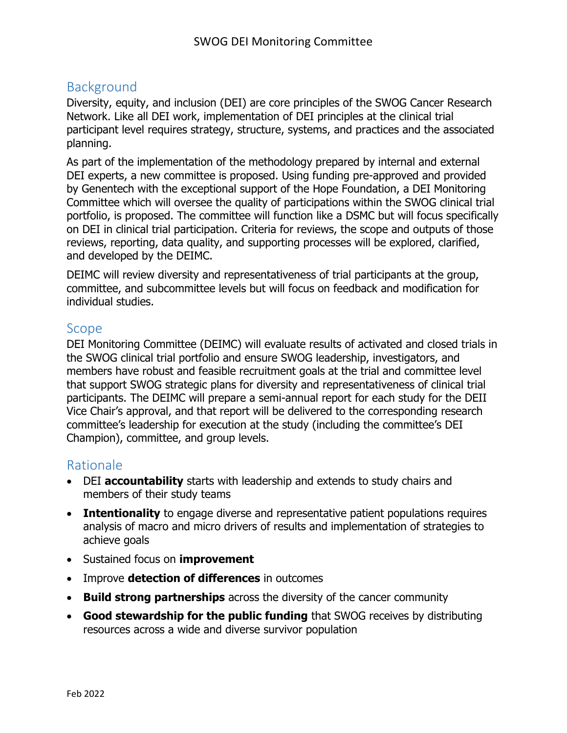### Background

Diversity, equity, and inclusion (DEI) are core principles of the SWOG Cancer Research Network. Like all DEI work, implementation of DEI principles at the clinical trial participant level requires strategy, structure, systems, and practices and the associated planning.

As part of the implementation of the methodology prepared by internal and external DEI experts, a new committee is proposed. Using funding pre-approved and provided by Genentech with the exceptional support of the Hope Foundation, a DEI Monitoring Committee which will oversee the quality of participations within the SWOG clinical trial portfolio, is proposed. The committee will function like a DSMC but will focus specifically on DEI in clinical trial participation. Criteria for reviews, the scope and outputs of those reviews, reporting, data quality, and supporting processes will be explored, clarified, and developed by the DEIMC.

DEIMC will review diversity and representativeness of trial participants at the group, committee, and subcommittee levels but will focus on feedback and modification for individual studies.

#### Scope

DEI Monitoring Committee (DEIMC) will evaluate results of activated and closed trials in the SWOG clinical trial portfolio and ensure SWOG leadership, investigators, and members have robust and feasible recruitment goals at the trial and committee level that support SWOG strategic plans for diversity and representativeness of clinical trial participants. The DEIMC will prepare a semi-annual report for each study for the DEII Vice Chair's approval, and that report will be delivered to the corresponding research committee's leadership for execution at the study (including the committee's DEI Champion), committee, and group levels.

#### Rationale

- DEI **accountability** starts with leadership and extends to study chairs and members of their study teams
- **Intentionality** to engage diverse and representative patient populations requires analysis of macro and micro drivers of results and implementation of strategies to achieve goals
- Sustained focus on **improvement**
- Improve **detection of differences** in outcomes
- **Build strong partnerships** across the diversity of the cancer community
- **Good stewardship for the public funding** that SWOG receives by distributing resources across a wide and diverse survivor population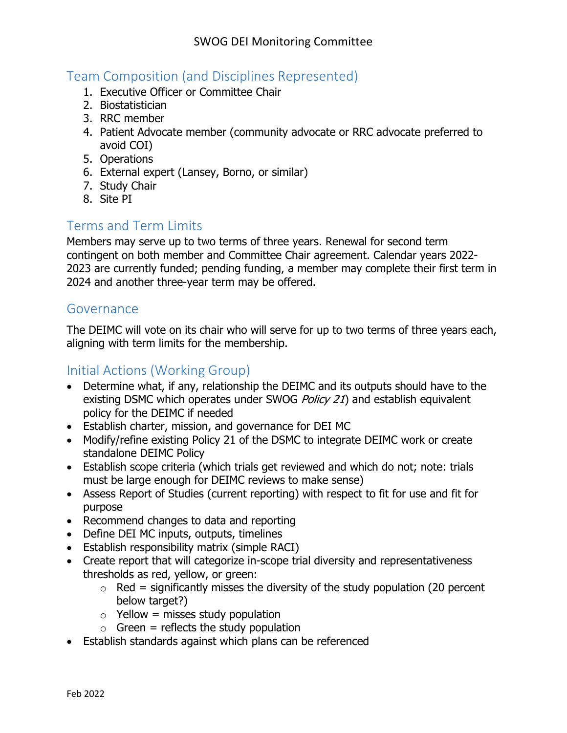## Team Composition (and Disciplines Represented)

- 1. Executive Officer or Committee Chair
- 2. Biostatistician
- 3. RRC member
- 4. Patient Advocate member (community advocate or RRC advocate preferred to avoid COI)
- 5. Operations
- 6. External expert (Lansey, Borno, or similar)
- 7. Study Chair
- 8. Site PI

### Terms and Term Limits

Members may serve up to two terms of three years. Renewal for second term contingent on both member and Committee Chair agreement. Calendar years 2022- 2023 are currently funded; pending funding, a member may complete their first term in 2024 and another three-year term may be offered.

#### Governance

The DEIMC will vote on its chair who will serve for up to two terms of three years each, aligning with term limits for the membership.

### Initial Actions (Working Group)

- Determine what, if any, relationship the DEIMC and its outputs should have to the existing DSMC which operates under SWOG *Policy 21*) and establish equivalent policy for the DEIMC if needed
- Establish charter, mission, and governance for DEI MC
- Modify/refine existing Policy 21 of the DSMC to integrate DEIMC work or create standalone DEIMC Policy
- Establish scope criteria (which trials get reviewed and which do not; note: trials must be large enough for DEIMC reviews to make sense)
- Assess Report of Studies (current reporting) with respect to fit for use and fit for purpose
- Recommend changes to data and reporting
- Define DEI MC inputs, outputs, timelines
- Establish responsibility matrix (simple RACI)
- Create report that will categorize in-scope trial diversity and representativeness thresholds as red, yellow, or green:
	- $\circ$  Red = significantly misses the diversity of the study population (20 percent below target?)
	- $\circ$  Yellow = misses study population
	- $\circ$  Green = reflects the study population
- Establish standards against which plans can be referenced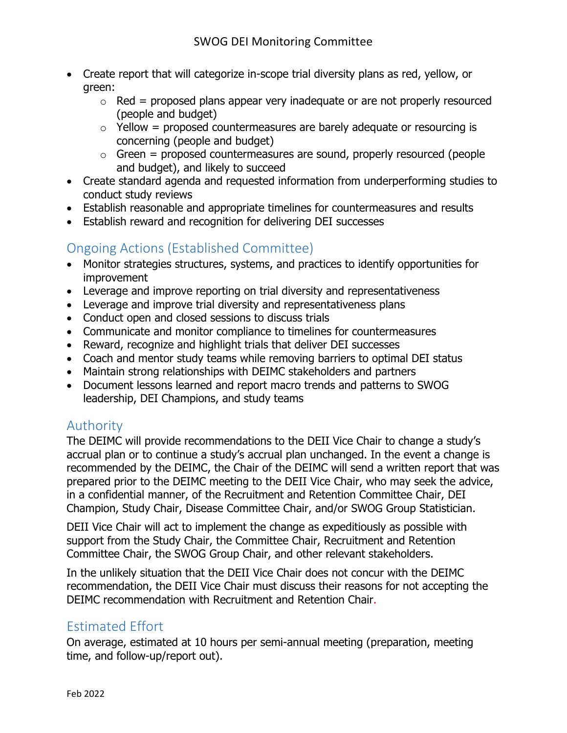- Create report that will categorize in-scope trial diversity plans as red, yellow, or green:
	- $\circ$  Red = proposed plans appear very inadequate or are not properly resourced (people and budget)
	- $\circ$  Yellow = proposed countermeasures are barely adequate or resourcing is concerning (people and budget)
	- $\circ$  Green = proposed countermeasures are sound, properly resourced (people and budget), and likely to succeed
- Create standard agenda and requested information from underperforming studies to conduct study reviews
- Establish reasonable and appropriate timelines for countermeasures and results
- Establish reward and recognition for delivering DEI successes

# Ongoing Actions (Established Committee)

- Monitor strategies structures, systems, and practices to identify opportunities for improvement
- Leverage and improve reporting on trial diversity and representativeness
- Leverage and improve trial diversity and representativeness plans
- Conduct open and closed sessions to discuss trials
- Communicate and monitor compliance to timelines for countermeasures
- Reward, recognize and highlight trials that deliver DEI successes
- Coach and mentor study teams while removing barriers to optimal DEI status
- Maintain strong relationships with DEIMC stakeholders and partners
- Document lessons learned and report macro trends and patterns to SWOG leadership, DEI Champions, and study teams

# Authority

The DEIMC will provide recommendations to the DEII Vice Chair to change a study's accrual plan or to continue a study's accrual plan unchanged. In the event a change is recommended by the DEIMC, the Chair of the DEIMC will send a written report that was prepared prior to the DEIMC meeting to the DEII Vice Chair, who may seek the advice, in a confidential manner, of the Recruitment and Retention Committee Chair, DEI Champion, Study Chair, Disease Committee Chair, and/or SWOG Group Statistician.

DEII Vice Chair will act to implement the change as expeditiously as possible with support from the Study Chair, the Committee Chair, Recruitment and Retention Committee Chair, the SWOG Group Chair, and other relevant stakeholders.

In the unlikely situation that the DEII Vice Chair does not concur with the DEIMC recommendation, the DEII Vice Chair must discuss their reasons for not accepting the DEIMC recommendation with Recruitment and Retention Chair.

# Estimated Effort

On average, estimated at 10 hours per semi-annual meeting (preparation, meeting time, and follow-up/report out).